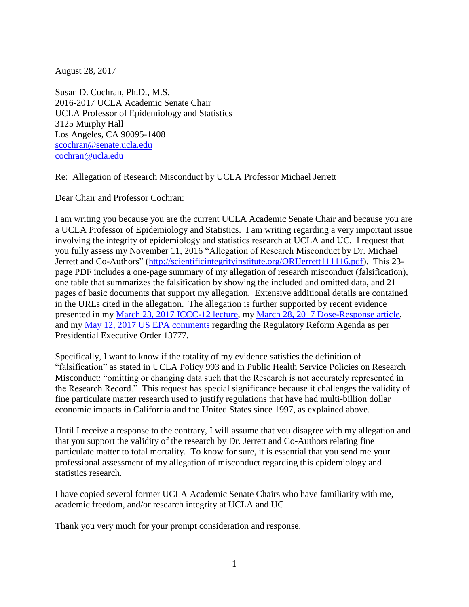August 28, 2017

Susan D. Cochran, Ph.D., M.S. 2016-2017 UCLA Academic Senate Chair UCLA Professor of Epidemiology and Statistics 3125 Murphy Hall Los Angeles, CA 90095-1408 [scochran@senate.ucla.edu](mailto:scochran@senate.ucla.edu) [cochran@ucla.edu](mailto:cochran@ucla.edu)

Re: Allegation of Research Misconduct by UCLA Professor Michael Jerrett

Dear Chair and Professor Cochran:

I am writing you because you are the current UCLA Academic Senate Chair and because you are a UCLA Professor of Epidemiology and Statistics. I am writing regarding a very important issue involving the integrity of epidemiology and statistics research at UCLA and UC. I request that you fully assess my November 11, 2016 "Allegation of Research Misconduct by Dr. Michael Jerrett and Co-Authors" [\(http://scientificintegrityinstitute.org/ORIJerrett111116.pdf\)](http://scientificintegrityinstitute.org/ORIJerrett111116.pdf). This 23page PDF includes a one-page summary of my allegation of research misconduct (falsification), one table that summarizes the falsification by showing the included and omitted data, and 21 pages of basic documents that support my allegation. Extensive additional details are contained in the URLs cited in the allegation. The allegation is further supported by recent evidence presented in my [March 23, 2017 ICCC-12 lecture,](http://climateconferences.heartland.org/james-enstrom-iccc12/) my [March 28, 2017 Dose-Response article,](http://journals.sagepub.com/doi/full/10.1177/1559325817693345) and my [May 12, 2017 US EPA comments](http://scientificintegrityinstitute.org/EPA051217.pdf) regarding the Regulatory Reform Agenda as per Presidential Executive Order 13777.

Specifically, I want to know if the totality of my evidence satisfies the definition of "falsification" as stated in UCLA Policy 993 and in Public Health Service Policies on Research Misconduct: "omitting or changing data such that the Research is not accurately represented in the Research Record." This request has special significance because it challenges the validity of fine particulate matter research used to justify regulations that have had multi-billion dollar economic impacts in California and the United States since 1997, as explained above.

Until I receive a response to the contrary, I will assume that you disagree with my allegation and that you support the validity of the research by Dr. Jerrett and Co-Authors relating fine particulate matter to total mortality. To know for sure, it is essential that you send me your professional assessment of my allegation of misconduct regarding this epidemiology and statistics research.

I have copied several former UCLA Academic Senate Chairs who have familiarity with me, academic freedom, and/or research integrity at UCLA and UC.

Thank you very much for your prompt consideration and response.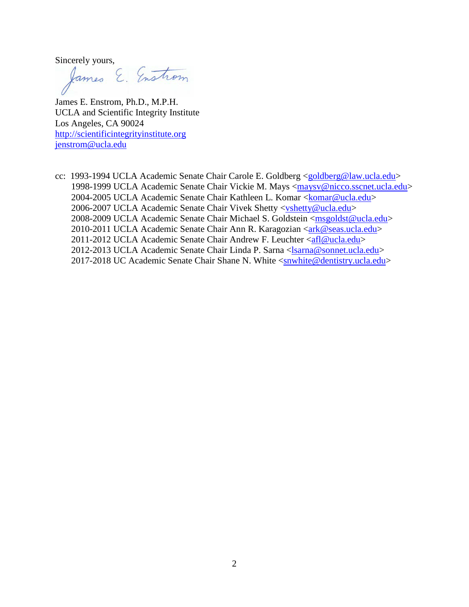Sincerely yours,<br>James E. Enstrom

James E. Enstrom, Ph.D., M.P.H. UCLA and Scientific Integrity Institute Los Angeles, CA 90024 [http://scientificintegrityinstitute.org](http://scientificintegrityinstitute.org/) [jenstrom@ucla.edu](mailto:jenstrom@ucla.edu)

cc: 1993-1994 UCLA Academic Senate Chair Carole E. Goldberg [<goldberg@law.ucla.edu>](mailto:goldberg@law.ucla.edu) 1998-1999 UCLA Academic Senate Chair Vickie M. Mays [<maysv@nicco.sscnet.ucla.edu>](mailto:maysv%40nicco.sscnet.ucla.edu) 2004-2005 UCLA Academic Senate Chair Kathleen L. Komar [<komar@ucla.edu>](mailto:komar@ucla.edu) 2006-2007 UCLA Academic Senate Chair Vivek Shetty [<vshetty@ucla.edu>](mailto:vshetty@ucla.edu) 2008-2009 UCLA Academic Senate Chair Michael S. Goldstein [<msgoldst@ucla.edu>](mailto:msgoldst@ucla.edu) 2010-2011 UCLA Academic Senate Chair Ann R. Karagozian [<ark@seas.ucla.edu>](mailto:ark%40seas.ucla.edu) 2011-2012 UCLA Academic Senate Chair Andrew F. Leuchter [<afl@ucla.edu>](mailto:afl@ucla.edu) 2012-2013 UCLA Academic Senate Chair Linda P. Sarna [<lsarna@sonnet.ucla.edu>](mailto:lsarna%40sonnet.ucla.edu) 2017-2018 UC Academic Senate Chair Shane N. White [<snwhite@dentistry.ucla.edu>](mailto:snwhite%40dentistry.ucla.edu)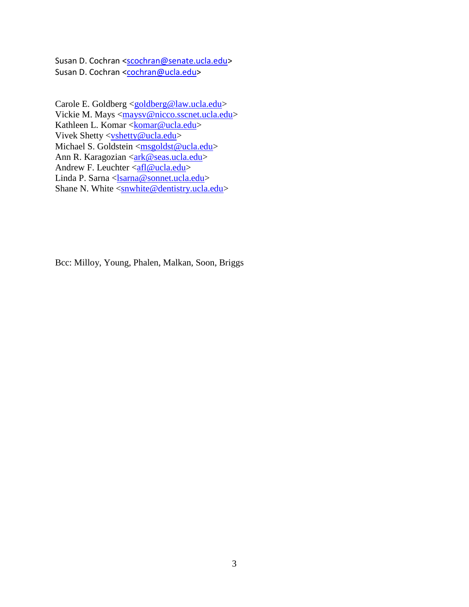Susan D. Cochran [<scochran@senate.ucla.edu>](mailto:scochran@senate.ucla.edu) Susan D. Cochran [<cochran@ucla.edu>](mailto:cochran@ucla.edu)

Carole E. Goldberg [<goldberg@law.ucla.edu>](mailto:goldberg@law.ucla.edu) Vickie M. Mays [<maysv@nicco.sscnet.ucla.edu>](mailto:maysv%40nicco.sscnet.ucla.edu) Kathleen L. Komar [<komar@ucla.edu>](mailto:komar@ucla.edu) Vivek Shetty [<vshetty@ucla.edu>](mailto:vshetty@ucla.edu) Michael S. Goldstein [<msgoldst@ucla.edu>](mailto:msgoldst@ucla.edu) Ann R. Karagozian [<ark@seas.ucla.edu>](mailto:ark%40seas.ucla.edu) Andrew F. Leuchter [<afl@ucla.edu>](mailto:afl@ucla.edu) Linda P. Sarna [<lsarna@sonnet.ucla.edu>](mailto:lsarna%40sonnet.ucla.edu) Shane N. White  $\overline{\leq}$ snwhite@dentistry.ucla.edu>

Bcc: Milloy, Young, Phalen, Malkan, Soon, Briggs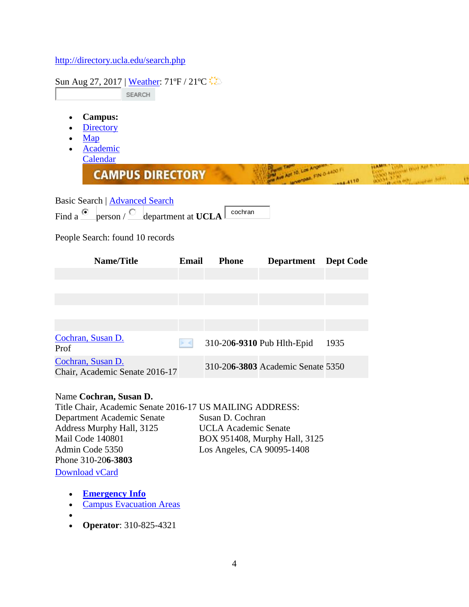## <http://directory.ucla.edu/search.php>

| Sun Aug 27, 2017   Weather: 71°F / 21°C<br><b>SEARCH</b>                                            |              |              |                                               |                  |                                                |  |
|-----------------------------------------------------------------------------------------------------|--------------|--------------|-----------------------------------------------|------------------|------------------------------------------------|--|
| <b>Campus:</b><br><b>Directory</b><br>Map<br><b>Academic</b><br>Calendar<br><b>CAMPUS DIRECTORY</b> |              |              | Ave Apt 10, Los Angeles<br>PORT FIN O 4400 FT | 04-4110          | <b>NY National Divid Ant Pa</b><br>Fine Lister |  |
| Basic Search   Advanced Search<br>Find a $\bullet$ person / $\circ$ department at UCLA              |              | cochran      |                                               |                  |                                                |  |
| People Search: found 10 records                                                                     |              |              |                                               |                  |                                                |  |
| Name/Title                                                                                          | <b>Email</b> | <b>Phone</b> | <b>Department</b>                             | <b>Dept Code</b> |                                                |  |
|                                                                                                     |              |              |                                               |                  |                                                |  |
|                                                                                                     |              |              |                                               |                  |                                                |  |
|                                                                                                     |              |              |                                               |                  |                                                |  |
| Cochran, Susan D.<br>Prof                                                                           | >4           |              | 310-206-9310 Pub Hlth-Epid                    | 1935             |                                                |  |
| Cochran, Susan D.<br>Chair, Academic Senate 2016-17                                                 |              |              | 310-206-3803 Academic Senate 5350             |                  |                                                |  |

## Name **Cochran, Susan D.**

Title Chair, Academic Senate 2016-17 US MAILING ADDRESS: Department Academic Senate Address Murphy Hall, 3125 Mail Code 140801 Admin Code 5350 Phone 310-20**6-3803** Susan D. Cochran UCLA Academic Senate BOX 951408, Murphy Hall, 3125 Los Angeles, CA 90095-1408 [Download vCard](http://directory.ucla.edu/vcard.php?qid=Rk49Q29jaHJhbiUyQytTdXNhbitELg%3D%3D%26Tj1Db2NocmFuJTNCK1N1c2FuJTNCK0Qu%26QURSO1dPUks9JTNCK1VDTEErQWNhZGVtaWMrU2VuYXRlJTNCK0JPWCs5NTE0MDgrTXVycGh5K0hhbGwlMkMrMzEyNSUzQitMb3MrQW5nZWxlcyUzQitDQSUzQis5MDA5NS0xNDA4%26VElUTEU9Q2hhaXIlMkMrQWNhZGVtaWMrU2VuYXRlKzIwMTYtMTc%3D%26T1JHPUFjYWRlbWljK1NlbmF0ZQ%3D%3D%26VEVMO1dPUks9MzEwLTIwNi0zODAz&fn=Cochran%2C+Susan+D.)

- **[Emergency Info](http://map.ais.ucla.edu/go/campus-safety)**
- [Campus Evacuation Areas](http://maps.ucla.edu/campus/?a_layers=lyr_evac)
- $\bullet$
- **Operator**: 310-825-4321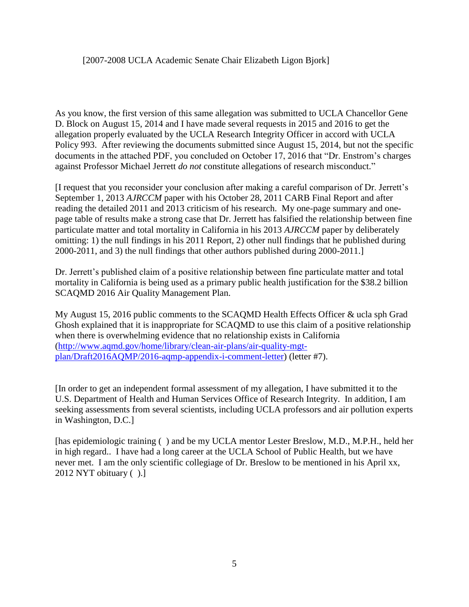As you know, the first version of this same allegation was submitted to UCLA Chancellor Gene D. Block on August 15, 2014 and I have made several requests in 2015 and 2016 to get the allegation properly evaluated by the UCLA Research Integrity Officer in accord with UCLA Policy 993. After reviewing the documents submitted since August 15, 2014, but not the specific documents in the attached PDF, you concluded on October 17, 2016 that "Dr. Enstrom's charges against Professor Michael Jerrett *do not* constitute allegations of research misconduct."

[I request that you reconsider your conclusion after making a careful comparison of Dr. Jerrett's September 1, 2013 *AJRCCM* paper with his October 28, 2011 CARB Final Report and after reading the detailed 2011 and 2013 criticism of his research. My one-page summary and onepage table of results make a strong case that Dr. Jerrett has falsified the relationship between fine particulate matter and total mortality in California in his 2013 *AJRCCM* paper by deliberately omitting: 1) the null findings in his 2011 Report, 2) other null findings that he published during 2000-2011, and 3) the null findings that other authors published during 2000-2011.]

Dr. Jerrett's published claim of a positive relationship between fine particulate matter and total mortality in California is being used as a primary public health justification for the \$38.2 billion SCAQMD 2016 Air Quality Management Plan.

My August 15, 2016 public comments to the SCAQMD Health Effects Officer & ucla sph Grad Ghosh explained that it is inappropriate for SCAQMD to use this claim of a positive relationship when there is overwhelming evidence that no relationship exists in California [\(http://www.aqmd.gov/home/library/clean-air-plans/air-quality-mgt](http://www.aqmd.gov/home/library/clean-air-plans/air-quality-mgt-plan/Draft2016AQMP/2016-aqmp-appendix-i-comment-letter)[plan/Draft2016AQMP/2016-aqmp-appendix-i-comment-letter\)](http://www.aqmd.gov/home/library/clean-air-plans/air-quality-mgt-plan/Draft2016AQMP/2016-aqmp-appendix-i-comment-letter) (letter #7).

[In order to get an independent formal assessment of my allegation, I have submitted it to the U.S. Department of Health and Human Services Office of Research Integrity. In addition, I am seeking assessments from several scientists, including UCLA professors and air pollution experts in Washington, D.C.]

[has epidemiologic training () and be my UCLA mentor Lester Breslow, M.D., M.P.H., held her in high regard.. I have had a long career at the UCLA School of Public Health, but we have never met. I am the only scientific collegiage of Dr. Breslow to be mentioned in his April xx, 2012 NYT obituary ( ).]